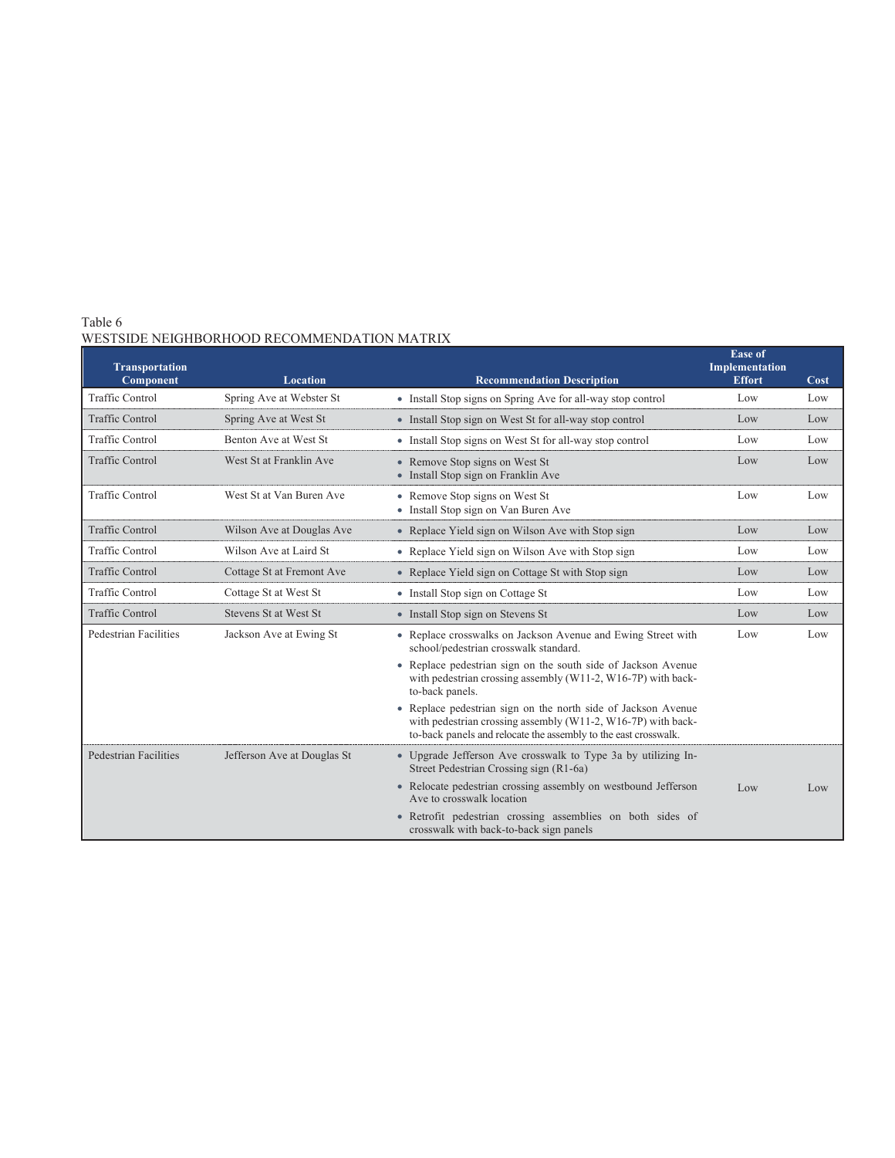# Table 6 WESTSIDE NEIGHBORHOOD RECOMMENDATION MATRIX

| <b>Transportation</b>        |                             |                                                                                                                                                                                                  | <b>Ease of</b><br>Implementation |      |
|------------------------------|-----------------------------|--------------------------------------------------------------------------------------------------------------------------------------------------------------------------------------------------|----------------------------------|------|
| Component                    | <b>Location</b>             | <b>Recommendation Description</b>                                                                                                                                                                | <b>Effort</b>                    | Cost |
| <b>Traffic Control</b>       | Spring Ave at Webster St    | • Install Stop signs on Spring Ave for all-way stop control                                                                                                                                      | Low                              | Low  |
| <b>Traffic Control</b>       | Spring Ave at West St       | • Install Stop sign on West St for all-way stop control                                                                                                                                          | Low                              | Low  |
| <b>Traffic Control</b>       | Benton Ave at West St       | • Install Stop signs on West St for all-way stop control                                                                                                                                         | Low                              | Low  |
| <b>Traffic Control</b>       | West St at Franklin Ave     | • Remove Stop signs on West St<br>• Install Stop sign on Franklin Ave                                                                                                                            | Low                              | Low  |
| <b>Traffic Control</b>       | West St at Van Buren Ave    | • Remove Stop signs on West St<br>• Install Stop sign on Van Buren Ave                                                                                                                           | Low                              | Low  |
| <b>Traffic Control</b>       | Wilson Ave at Douglas Ave   | • Replace Yield sign on Wilson Ave with Stop sign                                                                                                                                                | Low                              | Low  |
| <b>Traffic Control</b>       | Wilson Ave at Laird St      | • Replace Yield sign on Wilson Ave with Stop sign                                                                                                                                                | Low                              | Low  |
| <b>Traffic Control</b>       | Cottage St at Fremont Ave   | • Replace Yield sign on Cottage St with Stop sign                                                                                                                                                | Low                              | Low  |
| <b>Traffic Control</b>       | Cottage St at West St       | • Install Stop sign on Cottage St                                                                                                                                                                | Low                              | Low  |
| <b>Traffic Control</b>       | Stevens St at West St       | • Install Stop sign on Stevens St                                                                                                                                                                | Low                              | Low  |
| Pedestrian Facilities        | Jackson Ave at Ewing St     | • Replace crosswalks on Jackson Avenue and Ewing Street with<br>school/pedestrian crosswalk standard.                                                                                            | Low                              | Low  |
|                              |                             | • Replace pedestrian sign on the south side of Jackson Avenue<br>with pedestrian crossing assembly (W11-2, W16-7P) with back-<br>to-back panels.                                                 |                                  |      |
|                              |                             | • Replace pedestrian sign on the north side of Jackson Avenue<br>with pedestrian crossing assembly (W11-2, W16-7P) with back-<br>to-back panels and relocate the assembly to the east crosswalk. |                                  |      |
| <b>Pedestrian Facilities</b> | Jefferson Ave at Douglas St | • Upgrade Jefferson Ave crosswalk to Type 3a by utilizing In-<br>Street Pedestrian Crossing sign (R1-6a)                                                                                         |                                  |      |
|                              |                             | • Relocate pedestrian crossing assembly on westbound Jefferson<br>Ave to crosswalk location                                                                                                      | Low                              | Low  |
|                              |                             | · Retrofit pedestrian crossing assemblies on both sides of<br>crosswalk with back-to-back sign panels                                                                                            |                                  |      |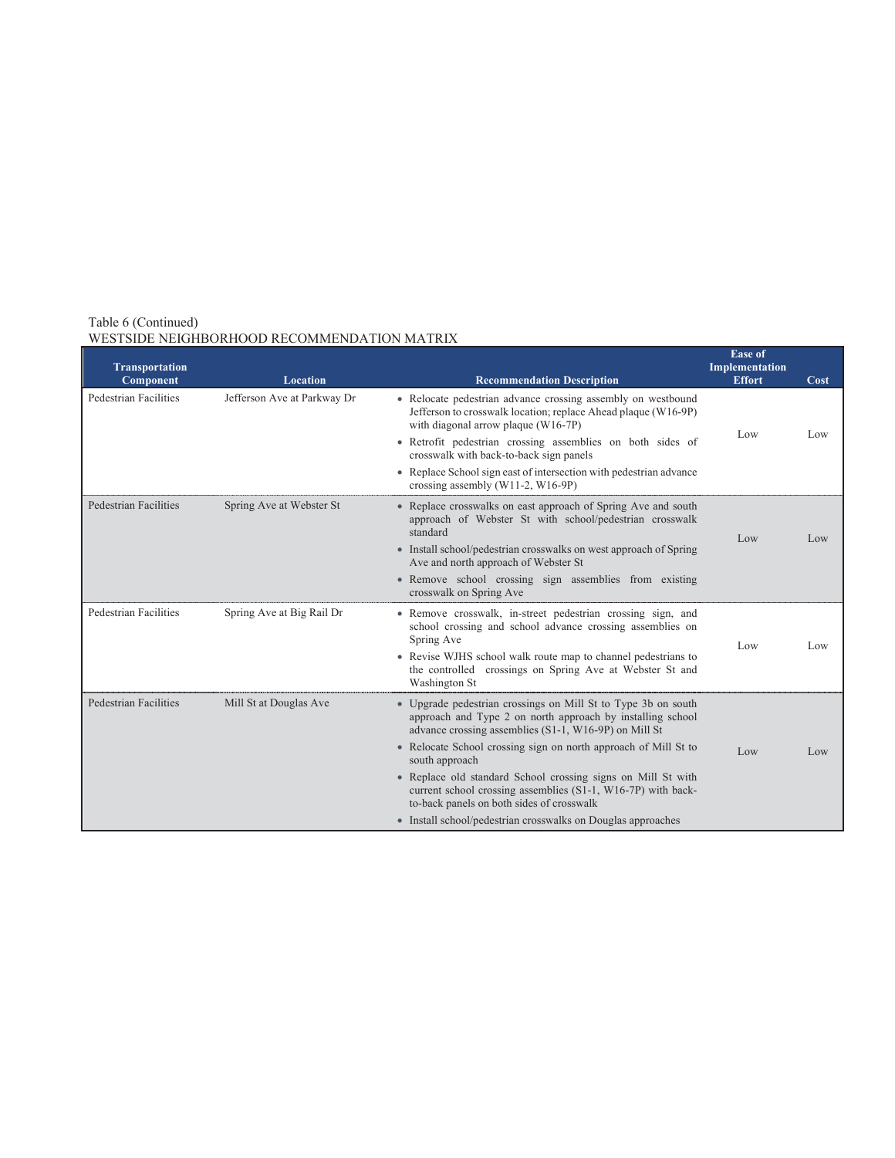| <b>Transportation</b><br>Component | <b>Location</b>             | <b>Recommendation Description</b>                                                                                                                                                    | <b>Ease of</b><br>Implementation<br><b>Effort</b> | Cost |
|------------------------------------|-----------------------------|--------------------------------------------------------------------------------------------------------------------------------------------------------------------------------------|---------------------------------------------------|------|
| Pedestrian Facilities              | Jefferson Ave at Parkway Dr | • Relocate pedestrian advance crossing assembly on westbound<br>Jefferson to crosswalk location; replace Ahead plaque (W16-9P)<br>with diagonal arrow plaque (W16-7P)                | Low                                               | Low  |
|                                    |                             | • Retrofit pedestrian crossing assemblies on both sides of<br>crosswalk with back-to-back sign panels                                                                                |                                                   |      |
|                                    |                             | • Replace School sign east of intersection with pedestrian advance<br>crossing assembly $(W11-2, W16-9P)$                                                                            |                                                   |      |
| Pedestrian Facilities              | Spring Ave at Webster St    | • Replace crosswalks on east approach of Spring Ave and south<br>approach of Webster St with school/pedestrian crosswalk<br>standard                                                 | Low                                               | Low  |
|                                    |                             | • Install school/pedestrian crosswalks on west approach of Spring<br>Ave and north approach of Webster St                                                                            |                                                   |      |
|                                    |                             | · Remove school crossing sign assemblies from existing<br>crosswalk on Spring Ave                                                                                                    |                                                   |      |
| Pedestrian Facilities              | Spring Ave at Big Rail Dr   | • Remove crosswalk, in-street pedestrian crossing sign, and<br>school crossing and school advance crossing assemblies on<br>Spring Ave                                               | Low                                               | Low  |
|                                    |                             | • Revise WJHS school walk route map to channel pedestrians to<br>the controlled crossings on Spring Ave at Webster St and<br>Washington St                                           |                                                   |      |
| Pedestrian Facilities              | Mill St at Douglas Ave      | • Upgrade pedestrian crossings on Mill St to Type 3b on south<br>approach and Type 2 on north approach by installing school<br>advance crossing assemblies (S1-1, W16-9P) on Mill St |                                                   |      |
|                                    |                             | • Relocate School crossing sign on north approach of Mill St to<br>south approach                                                                                                    | Low                                               | Low  |
|                                    |                             | · Replace old standard School crossing signs on Mill St with<br>current school crossing assemblies (S1-1, W16-7P) with back-<br>to-back panels on both sides of crosswalk            |                                                   |      |
|                                    |                             | • Install school/pedestrian crosswalks on Douglas approaches                                                                                                                         |                                                   |      |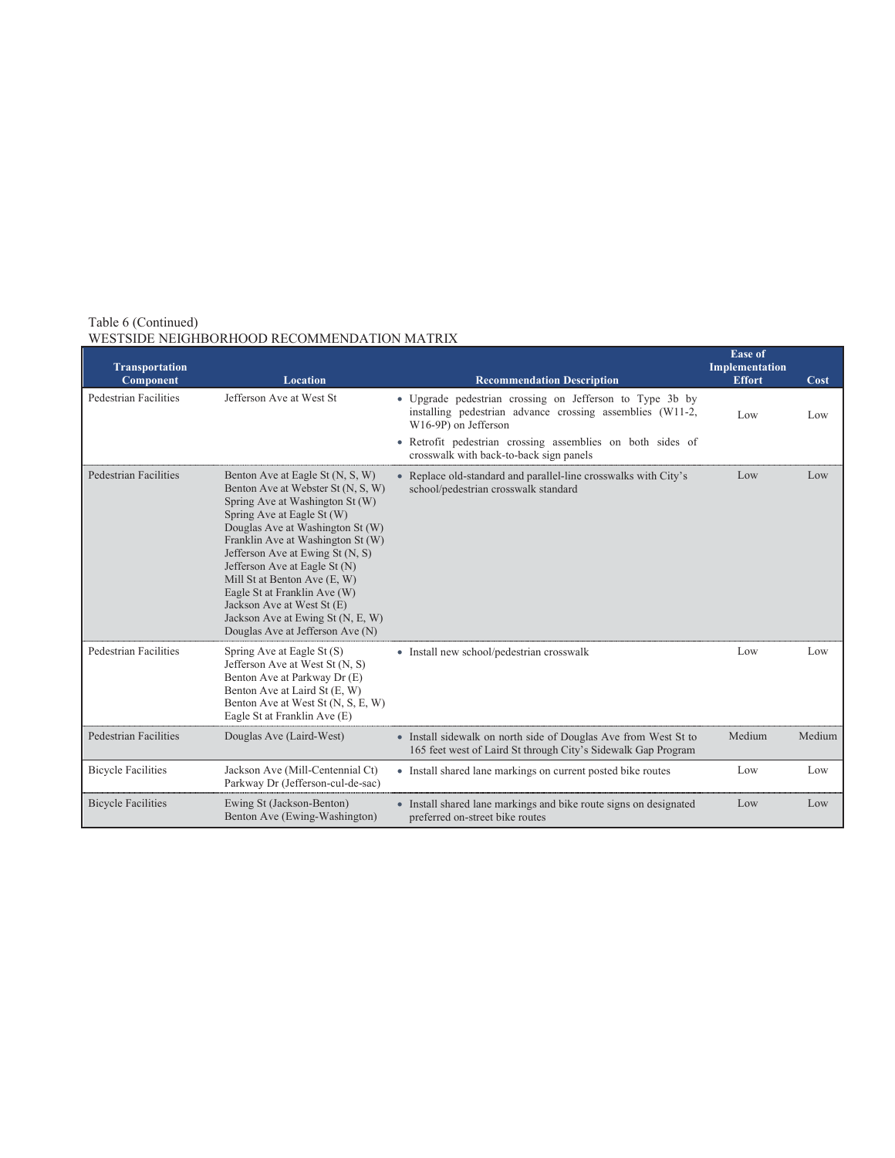| <b>Transportation</b><br>Component | <b>Location</b>                                                                                                                                                                                                                                                                                                                                                                                                                                              | <b>Recommendation Description</b>                                                                                                             | <b>Ease of</b><br>Implementation<br><b>Effort</b> | Cost   |
|------------------------------------|--------------------------------------------------------------------------------------------------------------------------------------------------------------------------------------------------------------------------------------------------------------------------------------------------------------------------------------------------------------------------------------------------------------------------------------------------------------|-----------------------------------------------------------------------------------------------------------------------------------------------|---------------------------------------------------|--------|
| Pedestrian Facilities              | Jefferson Ave at West St                                                                                                                                                                                                                                                                                                                                                                                                                                     | • Upgrade pedestrian crossing on Jefferson to Type 3b by<br>installing pedestrian advance crossing assemblies (W11-2,<br>W16-9P) on Jefferson | Low                                               | Low    |
|                                    |                                                                                                                                                                                                                                                                                                                                                                                                                                                              | • Retrofit pedestrian crossing assemblies on both sides of<br>crosswalk with back-to-back sign panels                                         |                                                   |        |
| <b>Pedestrian Facilities</b>       | Benton Ave at Eagle St (N, S, W)<br>Benton Ave at Webster St (N, S, W)<br>Spring Ave at Washington St (W)<br>Spring Ave at Eagle St (W)<br>Douglas Ave at Washington St (W)<br>Franklin Ave at Washington St (W)<br>Jefferson Ave at Ewing St (N, S)<br>Jefferson Ave at Eagle St (N)<br>Mill St at Benton Ave (E, W)<br>Eagle St at Franklin Ave (W)<br>Jackson Ave at West St (E)<br>Jackson Ave at Ewing St (N, E, W)<br>Douglas Ave at Jefferson Ave (N) | • Replace old-standard and parallel-line crosswalks with City's<br>school/pedestrian crosswalk standard                                       | Low                                               | Low    |
| <b>Pedestrian Facilities</b>       | Spring Ave at Eagle St (S)<br>Jefferson Ave at West St (N, S)<br>Benton Ave at Parkway Dr (E)<br>Benton Ave at Laird St (E, W)<br>Benton Ave at West St (N, S, E, W)<br>Eagle St at Franklin Ave (E)                                                                                                                                                                                                                                                         | • Install new school/pedestrian crosswalk                                                                                                     | Low                                               | Low    |
| <b>Pedestrian Facilities</b>       | Douglas Ave (Laird-West)                                                                                                                                                                                                                                                                                                                                                                                                                                     | • Install sidewalk on north side of Douglas Ave from West St to<br>165 feet west of Laird St through City's Sidewalk Gap Program              | Medium                                            | Medium |
| <b>Bicycle Facilities</b>          | Jackson Ave (Mill-Centennial Ct)<br>Parkway Dr (Jefferson-cul-de-sac)                                                                                                                                                                                                                                                                                                                                                                                        | • Install shared lane markings on current posted bike routes                                                                                  | Low                                               | Low    |
| <b>Bicycle Facilities</b>          | Ewing St (Jackson-Benton)<br>Benton Ave (Ewing-Washington)                                                                                                                                                                                                                                                                                                                                                                                                   | • Install shared lane markings and bike route signs on designated<br>preferred on-street bike routes                                          | Low                                               | Low    |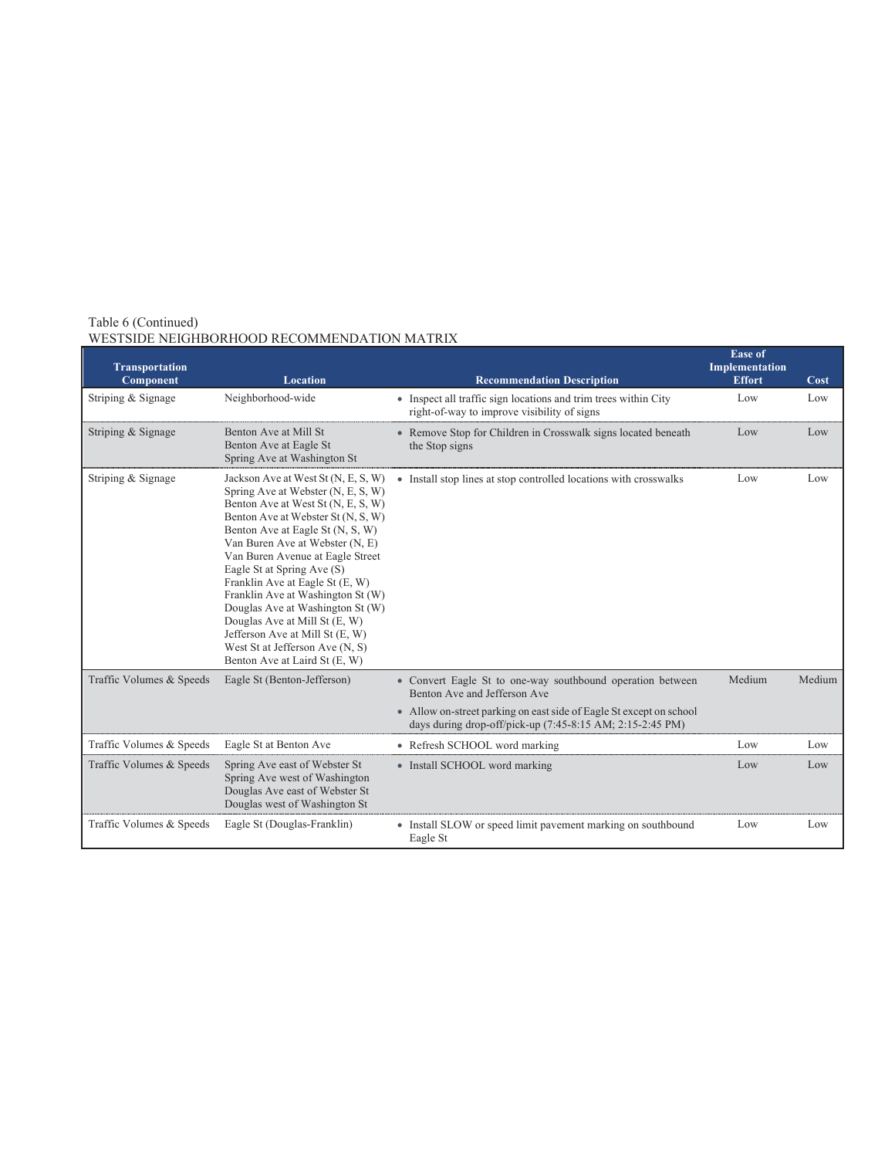| <b>Transportation</b><br>Component | <b>Location</b>                                                                                                                                                                                                                                                                                                                                                                                                                                                                                                                                    | <b>Recommendation Description</b>                                                                                                | <b>Ease of</b><br>Implementation<br><b>Effort</b> | Cost   |
|------------------------------------|----------------------------------------------------------------------------------------------------------------------------------------------------------------------------------------------------------------------------------------------------------------------------------------------------------------------------------------------------------------------------------------------------------------------------------------------------------------------------------------------------------------------------------------------------|----------------------------------------------------------------------------------------------------------------------------------|---------------------------------------------------|--------|
| Striping & Signage                 | Neighborhood-wide                                                                                                                                                                                                                                                                                                                                                                                                                                                                                                                                  | • Inspect all traffic sign locations and trim trees within City<br>right-of-way to improve visibility of signs                   | Low                                               | Low    |
| Striping & Signage                 | Benton Ave at Mill St<br>Benton Ave at Eagle St<br>Spring Ave at Washington St                                                                                                                                                                                                                                                                                                                                                                                                                                                                     | • Remove Stop for Children in Crosswalk signs located beneath<br>the Stop signs                                                  | Low                                               | Low    |
| Striping & Signage                 | Jackson Ave at West St (N, E, S, W)<br>Spring Ave at Webster (N, E, S, W)<br>Benton Ave at West St (N, E, S, W)<br>Benton Ave at Webster St (N, S, W)<br>Benton Ave at Eagle St (N, S, W)<br>Van Buren Ave at Webster (N, E)<br>Van Buren Avenue at Eagle Street<br>Eagle St at Spring Ave (S)<br>Franklin Ave at Eagle St (E, W)<br>Franklin Ave at Washington St (W)<br>Douglas Ave at Washington St (W)<br>Douglas Ave at Mill St (E, W)<br>Jefferson Ave at Mill St (E, W)<br>West St at Jefferson Ave (N, S)<br>Benton Ave at Laird St (E, W) | • Install stop lines at stop controlled locations with crosswalks                                                                | Low                                               | Low    |
| Traffic Volumes & Speeds           | Eagle St (Benton-Jefferson)                                                                                                                                                                                                                                                                                                                                                                                                                                                                                                                        | • Convert Eagle St to one-way southbound operation between<br>Benton Ave and Jefferson Ave                                       | Medium                                            | Medium |
|                                    |                                                                                                                                                                                                                                                                                                                                                                                                                                                                                                                                                    | • Allow on-street parking on east side of Eagle St except on school<br>days during drop-off/pick-up (7:45-8:15 AM; 2:15-2:45 PM) |                                                   |        |
| Traffic Volumes & Speeds           | Eagle St at Benton Ave                                                                                                                                                                                                                                                                                                                                                                                                                                                                                                                             | • Refresh SCHOOL word marking                                                                                                    | Low                                               | Low    |
| Traffic Volumes & Speeds           | Spring Ave east of Webster St<br>Spring Ave west of Washington<br>Douglas Ave east of Webster St<br>Douglas west of Washington St                                                                                                                                                                                                                                                                                                                                                                                                                  | • Install SCHOOL word marking                                                                                                    | Low                                               | Low    |
| Traffic Volumes & Speeds           | Eagle St (Douglas-Franklin)                                                                                                                                                                                                                                                                                                                                                                                                                                                                                                                        | • Install SLOW or speed limit pavement marking on southbound<br>Eagle St                                                         | Low                                               | Low    |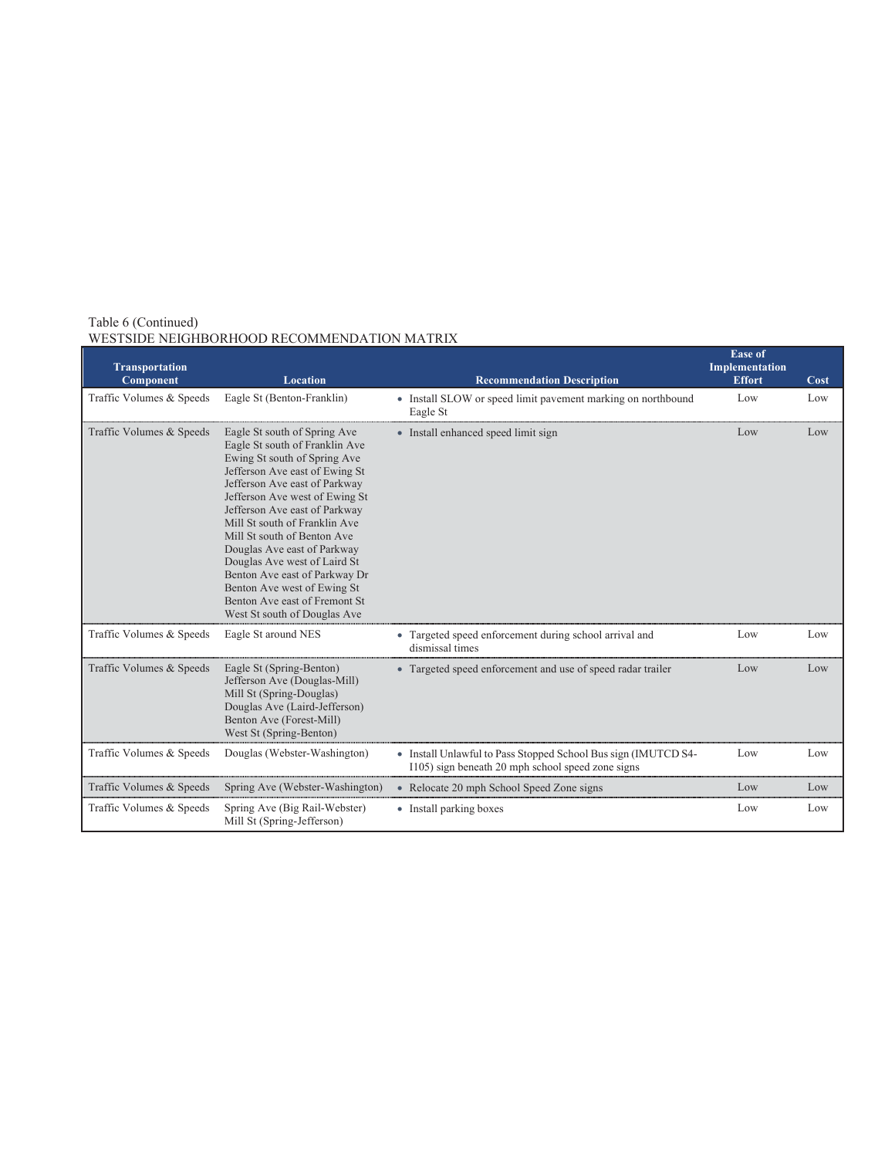| <b>Transportation</b>    |                                                                                                                                                                                                                                                                                                                                                                                                                                                                                                      |                                                                                                                     | <b>Ease of</b><br>Implementation |      |
|--------------------------|------------------------------------------------------------------------------------------------------------------------------------------------------------------------------------------------------------------------------------------------------------------------------------------------------------------------------------------------------------------------------------------------------------------------------------------------------------------------------------------------------|---------------------------------------------------------------------------------------------------------------------|----------------------------------|------|
| Component                | <b>Location</b>                                                                                                                                                                                                                                                                                                                                                                                                                                                                                      | <b>Recommendation Description</b>                                                                                   | <b>Effort</b>                    | Cost |
| Traffic Volumes & Speeds | Eagle St (Benton-Franklin)                                                                                                                                                                                                                                                                                                                                                                                                                                                                           | • Install SLOW or speed limit pavement marking on northbound<br>Eagle St                                            | Low                              | Low  |
| Traffic Volumes & Speeds | Eagle St south of Spring Ave<br>Eagle St south of Franklin Ave<br>Ewing St south of Spring Ave<br>Jefferson Ave east of Ewing St<br>Jefferson Ave east of Parkway<br>Jefferson Ave west of Ewing St<br>Jefferson Ave east of Parkway<br>Mill St south of Franklin Ave<br>Mill St south of Benton Ave<br>Douglas Ave east of Parkway<br>Douglas Ave west of Laird St<br>Benton Ave east of Parkway Dr<br>Benton Ave west of Ewing St<br>Benton Ave east of Fremont St<br>West St south of Douglas Ave | • Install enhanced speed limit sign                                                                                 | Low                              | Low  |
| Traffic Volumes & Speeds | Eagle St around NES                                                                                                                                                                                                                                                                                                                                                                                                                                                                                  | • Targeted speed enforcement during school arrival and<br>dismissal times                                           | Low                              | Low  |
| Traffic Volumes & Speeds | Eagle St (Spring-Benton)<br>Jefferson Ave (Douglas-Mill)<br>Mill St (Spring-Douglas)<br>Douglas Ave (Laird-Jefferson)<br>Benton Ave (Forest-Mill)<br>West St (Spring-Benton)                                                                                                                                                                                                                                                                                                                         | • Targeted speed enforcement and use of speed radar trailer                                                         | Low                              | Low  |
| Traffic Volumes & Speeds | Douglas (Webster-Washington)                                                                                                                                                                                                                                                                                                                                                                                                                                                                         | • Install Unlawful to Pass Stopped School Bus sign (IMUTCD S4-<br>1105) sign beneath 20 mph school speed zone signs | Low                              | Low  |
| Traffic Volumes & Speeds | Spring Ave (Webster-Washington)                                                                                                                                                                                                                                                                                                                                                                                                                                                                      | • Relocate 20 mph School Speed Zone signs                                                                           | Low                              | Low  |
| Traffic Volumes & Speeds | Spring Ave (Big Rail-Webster)<br>Mill St (Spring-Jefferson)                                                                                                                                                                                                                                                                                                                                                                                                                                          | • Install parking boxes                                                                                             | Low                              | Low  |